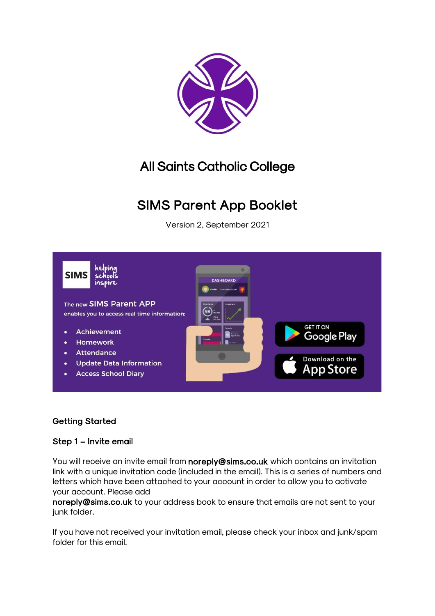

# All Saints Catholic College

# SIMS Parent App Booklet

Version 2, September 2021



## Getting Started

## Step 1 – Invite email

You will receive an invite email from noreply@sims.co.uk which contains an invitation link with a unique invitation code (included in the email). This is a series of numbers and letters which have been attached to your account in order to allow you to activate your account. Please add

noreply@sims.co.uk to your address book to ensure that emails are not sent to your junk folder.

If you have not received your invitation email, please check your inbox and junk/spam folder for this email.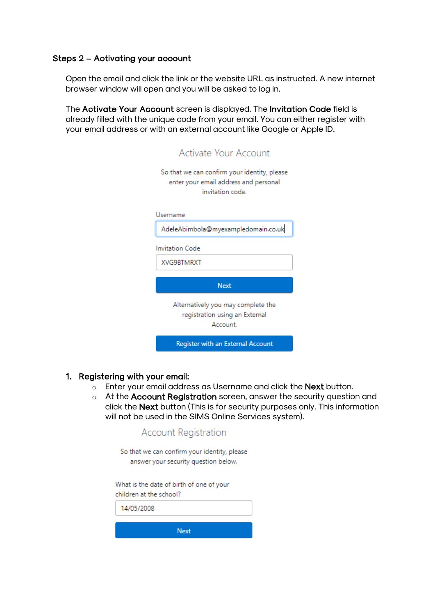### Steps 2 – Activating your account

Open the email and click the link or the website URL as instructed. A new internet browser window will open and you will be asked to log in.

The Activate Your Account screen is displayed. The Invitation Code field is already filled with the unique code from your email. You can either register with your email address or with an external account like Google or Apple ID.

| Activate Your Account                                                                                     |
|-----------------------------------------------------------------------------------------------------------|
| So that we can confirm your identity, please<br>enter your email address and personal<br>invitation code. |
| Username                                                                                                  |
| AdeleAbimbola@myexampledomain.co.uk                                                                       |
| <b>Invitation Code</b>                                                                                    |
| <b>XVG9BTMRXT</b>                                                                                         |
| <b>Next</b>                                                                                               |
| Alternatively you may complete the<br>registration using an External<br>Account.                          |
| Register with an External Account                                                                         |

#### 1. Registering with your email:

- o Enter your email address as Username and click the **Next** button.
- o At the Account Registration screen, answer the security question and click the Next button (This is for security purposes only. This information will not be used in the SIMS Online Services system).

|                         | <b>Account Registration</b>                                                          |
|-------------------------|--------------------------------------------------------------------------------------|
|                         | So that we can confirm your identity, please<br>answer your security question below. |
| children at the school? | What is the date of birth of one of your                                             |
| 14/05/2008              |                                                                                      |
|                         |                                                                                      |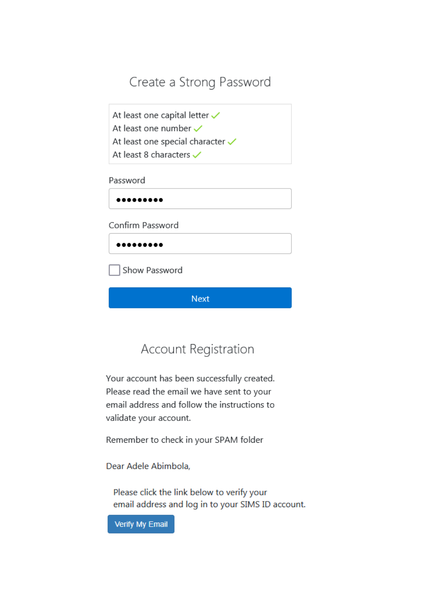# Create a Strong Password

At least one capital letter  $\checkmark$ At least one number  $\checkmark$ At least one special character  $\checkmark$ At least 8 characters  $\checkmark$ 

Password

.........

Confirm Password

.......

Show Password

**Next** 

# Account Registration

Your account has been successfully created. Please read the email we have sent to your email address and follow the instructions to validate your account.

Remember to check in your SPAM folder

Dear Adele Abimbola,

Please click the link below to verify your email address and log in to your SIMS ID account.

**Verify My Email**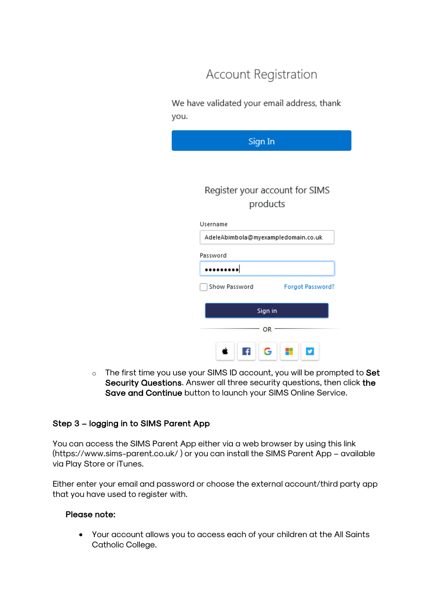# Account Registration

We have validated your email address, thank you.

| Sign In                             |                  |  |
|-------------------------------------|------------------|--|
|                                     |                  |  |
| Register your account for SIMS      |                  |  |
| products                            |                  |  |
| Username                            |                  |  |
| AdeleAbimbola@myexampledomain.co.uk |                  |  |
| Password                            |                  |  |
|                                     |                  |  |
| Show Password                       | Forgot Password? |  |
| Sign in                             |                  |  |
|                                     |                  |  |
| OR                                  |                  |  |
| G<br>я                              | ٣.<br>v          |  |

 $\circ$  The first time you use your SIMS ID account, you will be prompted to Set Security Questions. Answer all three security questions, then click the Save and Continue button to launch your SIMS Online Service.

## Step 3 – logging in to SIMS Parent App

You can access the SIMS Parent App either via a web browser by using this link (https://www.sims-parent.co.uk/ ) or you can install the SIMS Parent App – available via Play Store or iTunes.

Either enter your email and password or choose the external account/third party app that you have used to register with.

#### Please note:

• Your account allows you to access each of your children at the All Saints Catholic College.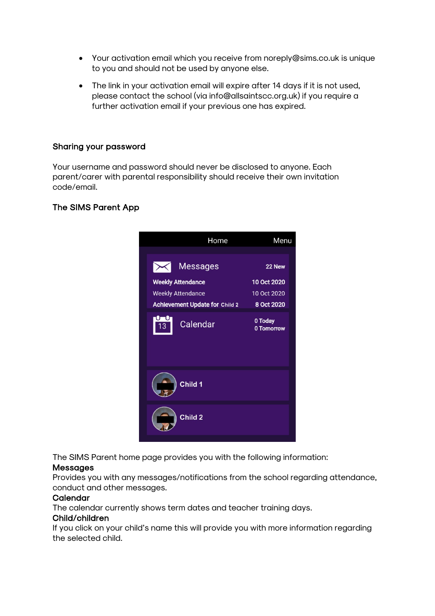- Your activation email which you receive from noreply@sims.co.uk is unique to you and should not be used by anyone else.
- The link in your activation email will expire after 14 days if it is not used, please contact the school (via info@allsaintscc.org.uk) if you require a further activation email if your previous one has expired.

#### Sharing your password

Your username and password should never be disclosed to anyone. Each parent/carer with parental responsibility should receive their own invitation code/email.

#### The SIMS Parent App



The SIMS Parent home page provides you with the following information:

#### Messages

Provides you with any messages/notifications from the school regarding attendance, conduct and other messages.

#### Calendar

The calendar currently shows term dates and teacher training days.

#### Child/children

If you click on your child's name this will provide you with more information regarding the selected child.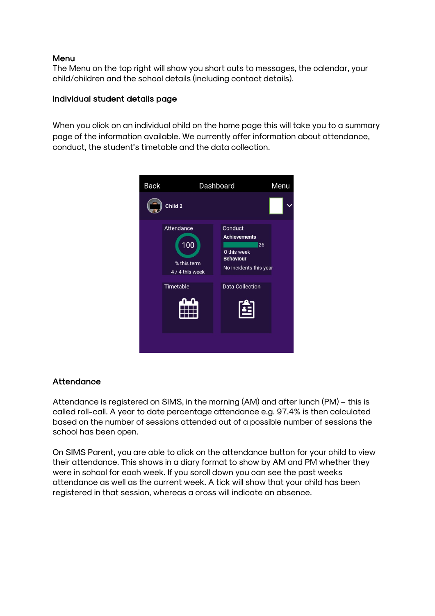#### **Menu**

The Menu on the top right will show you short cuts to messages, the calendar, your child/children and the school details (including contact details).

#### Individual student details page

When you click on an individual child on the home page this will take you to a summary page of the information available. We currently offer information about attendance, conduct, the student's timetable and the data collection.



#### **Attendance**

Attendance is registered on SIMS, in the morning (AM) and after lunch (PM) – this is called roll-call. A year to date percentage attendance e.g. 97.4% is then calculated based on the number of sessions attended out of a possible number of sessions the school has been open.

On SIMS Parent, you are able to click on the attendance button for your child to view their attendance. This shows in a diary format to show by AM and PM whether they were in school for each week. If you scroll down you can see the past weeks attendance as well as the current week. A tick will show that your child has been registered in that session, whereas a cross will indicate an absence.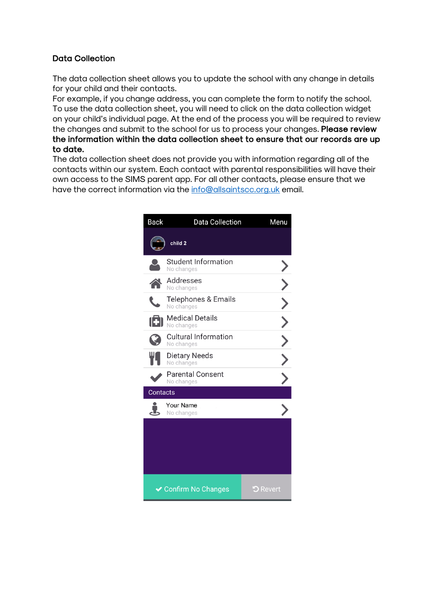## Data Collection

The data collection sheet allows you to update the school with any change in details for your child and their contacts.

For example, if you change address, you can complete the form to notify the school. To use the data collection sheet, you will need to click on the data collection widget on your child's individual page. At the end of the process you will be required to review the changes and submit to the school for us to process your changes. Please review the information within the data collection sheet to ensure that our records are up to date.

The data collection sheet does not provide you with information regarding all of the contacts within our system. Each contact with parental responsibilities will have their own access to the SIMS parent app. For all other contacts, please ensure that we have the correct information via the [info@allsaintscc.org.uk](mailto:info@allsaintscc.org.uk) email.